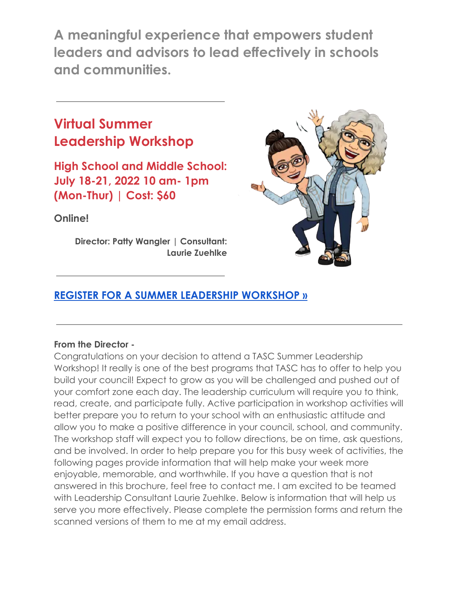**A meaningful experience that empowers student leaders and advisors to lead effectively in schools and communities.**

# **Virtual Summer Leadership Workshop**

**High School and Middle School: July 18-21, 2022 10 am- 1pm (Mon-Thur) | Cost: \$60**

**Online!**

**Director: Patty Wangler | Consultant: Laurie Zuehlke**



# **REGISTER FOR A SUMMER LEADERSHIP [WORKSHOP](https://www.tasconline.org/summer-leadership-workshops) »**

## **From the Director -**

Congratulations on your decision to attend a TASC Summer Leadership Workshop! It really is one of the best programs that TASC has to offer to help you build your council! Expect to grow as you will be challenged and pushed out of your comfort zone each day. The leadership curriculum will require you to think, read, create, and participate fully. Active participation in workshop activities will better prepare you to return to your school with an enthusiastic attitude and allow you to make a positive difference in your council, school, and community. The workshop staff will expect you to follow directions, be on time, ask questions, and be involved. In order to help prepare you for this busy week of activities, the following pages provide information that will help make your week more enjoyable, memorable, and worthwhile. If you have a question that is not answered in this brochure, feel free to contact me. I am excited to be teamed with Leadership Consultant Laurie Zuehlke. Below is information that will help us serve you more effectively. Please complete the permission forms and return the scanned versions of them to me at my email address.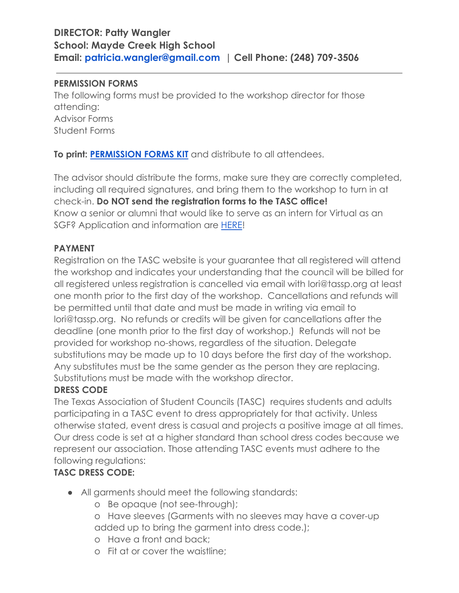## **DIRECTOR: Patty Wangler School: Mayde Creek High School Email: patricia.wangler@gmail.com | Cell Phone: (248) 709-3506**

#### **PERMISSION FORMS**

The following forms must be provided to the workshop director for those attending: Advisor Forms Student Forms

**To print: [PERMISSION FORMS KIT](https://www.tasconline.org/summer-leadership-workshops)** and distribute to all attendees.

The advisor should distribute the forms, make sure they are correctly completed, including all required signatures, and bring them to the workshop to turn in at check-in. **Do NOT send the registration forms to the TASC office!** Know a senior or alumni that would like to serve as an intern for Virtual as an SGF? Application and information are [HERE](https://docs.google.com/document/d/1XM7WMmmP3ll03yEJOBYgQNpR_QVLisKQ/edit?usp=sharing&ouid=110969736369271013101&rtpof=true&sd=true)!

## **PAYMENT**

Registration on the TASC website is your guarantee that all registered will attend the workshop and indicates your understanding that the council will be billed for all registered unless registration is cancelled via email with lori@tassp.org at least one month prior to the first day of the workshop. Cancellations and refunds will be permitted until that date and must be made in writing via email to lori@tassp.org. No refunds or credits will be given for cancellations after the deadline (one month prior to the first day of workshop.) Refunds will not be provided for workshop no-shows, regardless of the situation. Delegate substitutions may be made up to 10 days before the first day of the workshop. Any substitutes must be the same gender as the person they are replacing. Substitutions must be made with the workshop director.

## **DRESS CODE**

The Texas Association of Student Councils (TASC) requires students and adults participating in a TASC event to dress appropriately for that activity. Unless otherwise stated, event dress is casual and projects a positive image at all times. Our dress code is set at a higher standard than school dress codes because we represent our association. Those attending TASC events must adhere to the following regulations:

## **TASC DRESS CODE:**

- **●** All garments should meet the following standards:
	- o Be opaque (not see-through);
	- o Have sleeves (Garments with no sleeves may have a cover-up added up to bring the garment into dress code.);
	- o Have a front and back;
	- o Fit at or cover the waistline;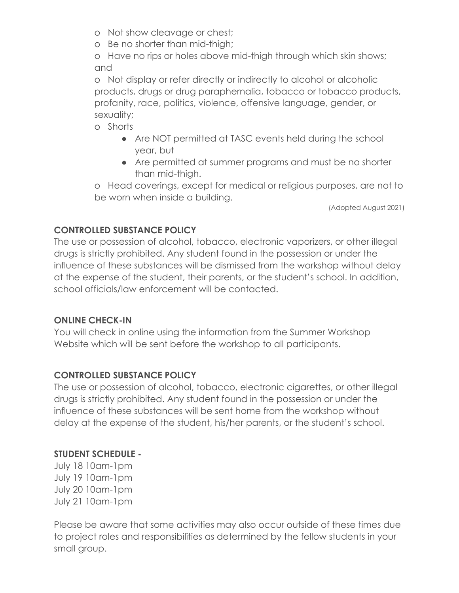- o Not show cleavage or chest;
- o Be no shorter than mid-thigh;

o Have no rips or holes above mid-thigh through which skin shows; and

o Not display or refer directly or indirectly to alcohol or alcoholic products, drugs or drug paraphernalia, tobacco or tobacco products, profanity, race, politics, violence, offensive language, gender, or sexuality;

o Shorts

- Are NOT permitted at TASC events held during the school year, but
- Are permitted at summer programs and must be no shorter than mid-thigh.

o Head coverings, except for medical or religious purposes, are not to be worn when inside a building.

(Adopted August 2021)

## **CONTROLLED SUBSTANCE POLICY**

The use or possession of alcohol, tobacco, electronic vaporizers, or other illegal drugs is strictly prohibited. Any student found in the possession or under the influence of these substances will be dismissed from the workshop without delay at the expense of the student, their parents, or the student's school. In addition, school officials/law enforcement will be contacted.

## **ONLINE CHECK-IN**

You will check in online using the information from the Summer Workshop Website which will be sent before the workshop to all participants.

## **CONTROLLED SUBSTANCE POLICY**

The use or possession of alcohol, tobacco, electronic cigarettes, or other illegal drugs is strictly prohibited. Any student found in the possession or under the influence of these substances will be sent home from the workshop without delay at the expense of the student, his/her parents, or the student's school.

## **STUDENT SCHEDULE -**

July 18 10am-1pm July 19 10am-1pm July 20 10am-1pm July 21 10am-1pm

Please be aware that some activities may also occur outside of these times due to project roles and responsibilities as determined by the fellow students in your small group.